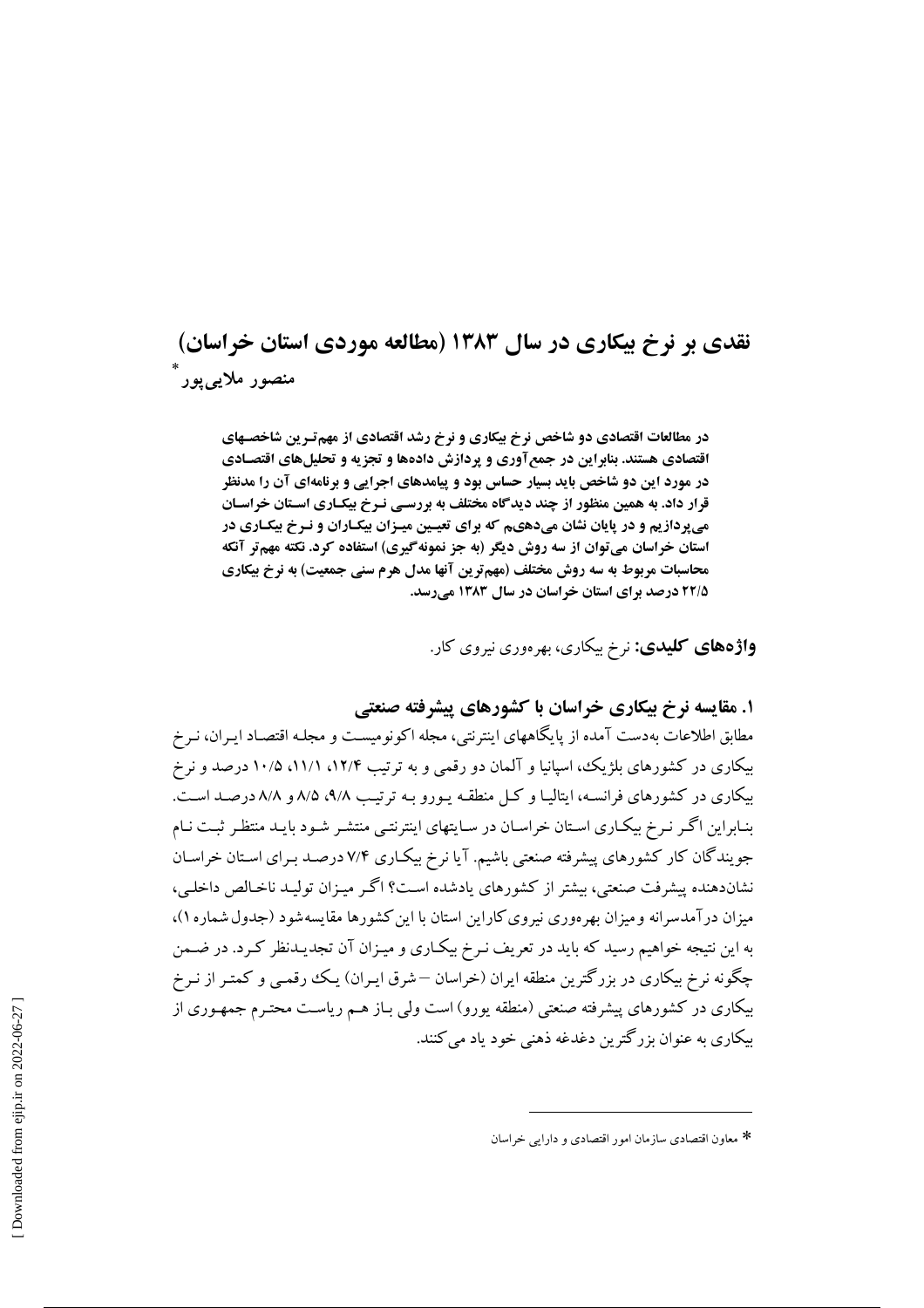# نقدی بر نرخ بیکاری در سال ۱۳۸۳ (مطالعه موردی استان خراسان) منصور ملايي يور ً

در مطالعات اقتصادی دو شاخص نرخ بیکاری و نرخ رشد اقتصادی از مهم تـر ین شاخصـهای اقتصادی هستند. بنابراین در جمع آوری و پردازش دادهها و تجزیه و تحلیلهای اقتصـادی در مورد این دو شاخص باید بسیار حساس بود و پیامدهای اجرایی و برنامهای آن را مدنظر قرار داد. به همین منظور از چند دیدگاه مختلف به بررسـی نـرخ بیکـاری اسـتان خراسـان می پردازیم و در پایان نشان میدهیم که برای تعیین میـزان بیکـاران و نـرخ بیکـاری در استان خراسان میتوان از سه روش دیگر (به جز نمونهگیری) استفاده کرد. نکته مهمتر آنکه محاسبات مربوط به سه روش مختلف (مهم ترین آنها مدل هرم سنی جمعیت) به نرخ بیکاری ۲۲/۵ درصد برای استان خراسان در سال ۱۳۸۳ می رسد.

**واژههای کلیدی:** نرخ بیکاری، بهرهوری نیروی کار.

۱. مقایسه نرخ بیکاری خراسان با کشورهای پیشرفته صنعتی

مطابق اطلاعات بهدست آمده از پایگاههای اینترنتی، مجله اکونومیست و مجلـه اقتصـاد ایـران، نـرخ بیکاری در کشورهای بلژیک، اسپانیا و آلمان دو رقمی و به ترتیب ۱۲/۴، ۱۱/۱، ۱۰/۵ درصد و نرخ بیکاری در کشورهای فرانسـه، ایتالیـا و کـل منطقـه پـورو بـه ترتیـب ۹/۸، ۹/۸، ۸/۵ درصـد اسـت. بنـابراین اگـر نـرخ بیكـاری اسـتان خراسـان در سـایتهای اینترنتـی منتشـر شـود بایـد منتظـر ثبـت نـام جویندگان کار کشورهای پیشرفته صنعتی باشیم. آیا نرخ بیکاری ۷/۴ درصد بـرای اسـتان خراسـان نشاندهنده پیشرفت صنعتی، پیشتر از کشورهای یادشده است؟ اگیر مییزان تولیید ناخیالص داخلی، میزان در آمدسرانه و میزان بهرهوری نیروی کاراین استان با این کشورها مقایسه شود (جدول شماره ۱)، به این نتیجه خواهیم رسید که باید در تعریف نـرخ بیکـاری و میـزان آن تجدیـدنظر کـرد. در ضـمن چگونه نرخ بیکاری در بزرگترین منطقه ایران (خراسان —شرق ایـران) یـک رقمـی و کمتـر از نـرخ بیکاری در کشورهای پیشرفته صنعتی (منطقه یورو) است ولی بـاز هـم ریاسـت محتـرم جمهـوری از بيکاري به عنوان بزرگترين دغدغه ذهني خود ياد مي کنند.

<sup>\*</sup> معاون اقتصادي سازمان امور اقتصادي و دارايي خراسان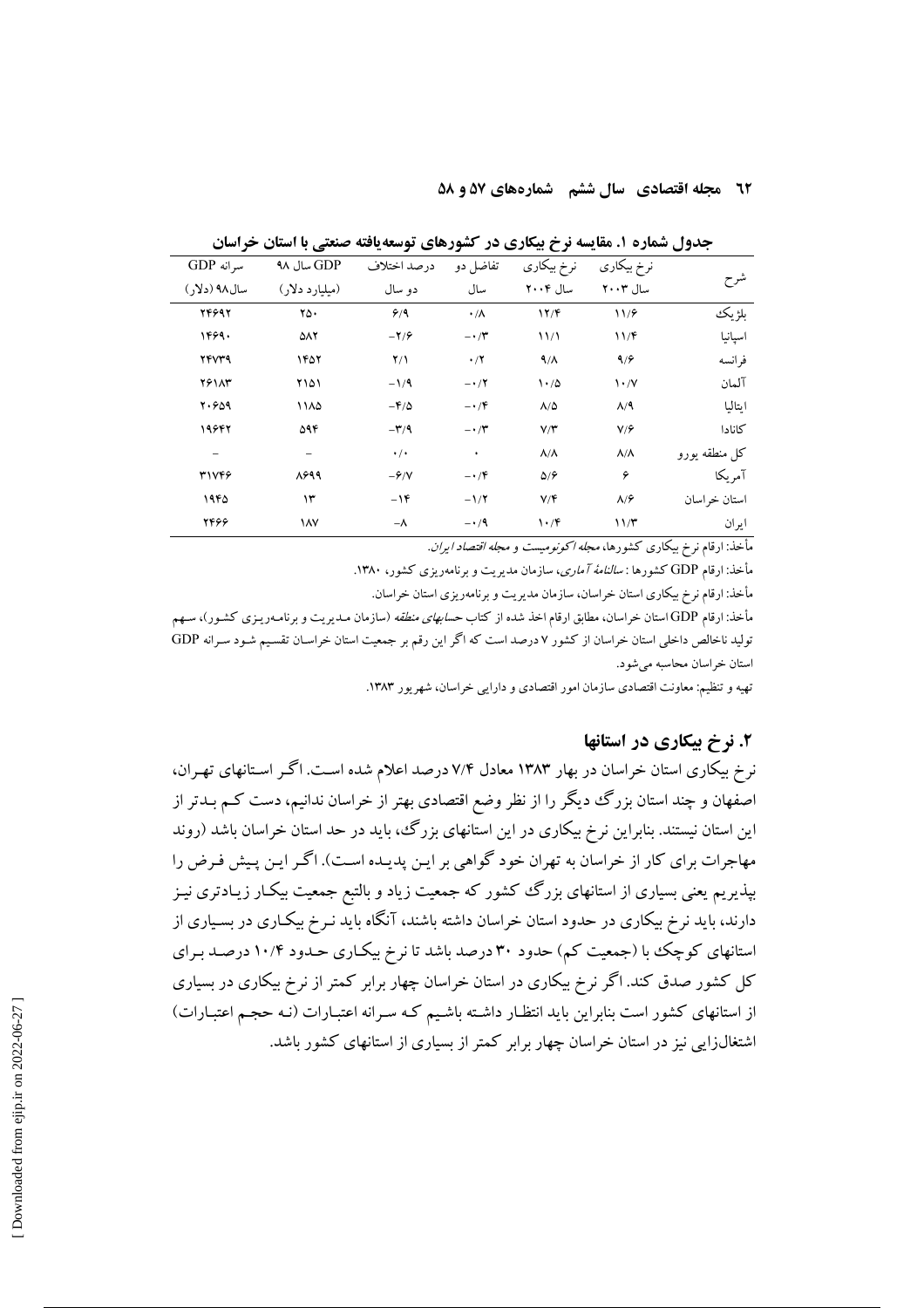### **12 مجله اقتصادی سال ششم گشمارههای ۵۷ و ۵۸**

|               | نرخ بیکاری                      | نرخ بیکاری                      | تفاضل دو           | درصد اختلاف                    | GDP سال ۹۸     | سرانه GDP     |
|---------------|---------------------------------|---------------------------------|--------------------|--------------------------------|----------------|---------------|
| شرح           | سال ۲۰۰۳                        | سال ۲۰۰۴                        | سال                | دو سال                         | (میلیارد دلار) | سال ۹۸ (دلار) |
| بلژيك         | 11/9                            | 17/F                            | $\cdot/\Lambda$    | 9/9                            | ۲۵۰            | 746997        |
| اسپانیا       | 11/F                            | 11/1                            | $-\cdot$ / $\cdot$ | $-\mathbf{Y}/\mathbf{P}$       | ۵۸۲            | 1469.         |
| فرانسه        | 9/9                             | 9/1                             | $\cdot/7$          | $Y/\lambda$                    | ۱۴۵۲           | <b>TFVT9</b>  |
| آلمان         | $\mathcal{N} \cdot \mathcal{N}$ | 1.70                            | $-1/7$             | $-1/9$                         | ۲۱۵۱           | <b>79117</b>  |
| اىتالىا       | $\Lambda$ /٩                    | $\Lambda/\Delta$                | $-\cdot$ /۴        | $-\mathbf{F}/\Delta$           | ۱۱۸۵           | Y.909         |
| كانادا        | V/F                             | V/Y                             | $-\cdot$ / $\cdot$ | $-\mathbf{r}/\mathbf{q}$       | ۵۹۴            | 19642         |
| كل منطقه يورو | $\Lambda/\Lambda$               | $\Lambda/\Lambda$               | ٠                  | $\cdot$ / $\cdot$              | -              | -             |
| آمريكا        | ۶                               | $\Delta$ / $\hat{r}$            | $-\cdot$ /۴        | $-\hat{\mathbf{y}}/\mathbf{V}$ | 8899           | ٣١٧۴۶         |
| استان خراسان  | $\lambda$ / $\hat{r}$           | V/F                             | $-1/7$             | $-16$                          | ۱۳             | ۱۹۴۵          |
| ايران         | 11/T                            | $\mathcal{N} \cdot \mathcal{N}$ | $-1/9$             | $-\lambda$                     | ١٨٧            | 2446          |

جدول شماره ۱. مقایسه نرخ بیکاری در کشورهای توسعه یافته صنعتی با استان خراسان

مأخذ: ارقام نرخ بیکاری کشورها، *مجله اکونومیست و مجله اقتصاد ایران*.

مأخذ: ارقام GDP کشورها : *سالنامهٔ آماری*، سازمان مدیریت و برنامهریزی کشور، ۱۳۸۰.

مأخذ: ارقام نرخ بیکاری استان خراسان، سازمان مدیریت و برنامهریزی استان خراسان.

مأخذ: ارقام GDP استان خراسان، مطابق ارقام اخذ شده از کتاب *حسابهای منطقه* (سازمان مـدیریت و برنامـهریـزی کشـور)، سـهم تولید ناخالص داخلی استان خراسان از کشور ۷ درصد است که اگر این رقم بر جمعیت استان خراسـان تقسـیم شـود سـرانه GDP استان خراسان محاسبه مي شود.

تهیه و تنظیم: معاونت اقتصادی سازمان امور اقتصادی و دارایی خراسان، شهریور ۱۳۸۳.

# ۲. نرخ پیکاری در استانها

نرخ بیکاری استان خراسان در بهار ۱۳۸۳ معادل ۷/۴ درصد اعلام شده است. اگـر اسـتانهای تهـران، اصفهان و چند استان بزرگ دیگر را از نظر وضع اقتصادی بهتر از خراسان ندانیم، دست کـم بــدتر از این استان نیستند. بنابراین نرخ بیکاری در این استانهای بزرگ، باید در حد استان خراسان باشد (روند مهاجرات برای کار از خراسان به تهران خود گواهی بر ایـن پدیـده اسـت). اگـر ایـن پـیش فـرض را بیذیریم یعنی بسیاری از استانهای بزرگ ککشور که جمعیت زیاد و بالتبع جمعیت بیک\ر زیـادتری نیـز دارند، باید نرِخ بیکاری در حدود استان خراسان داشته باشند، آنگاه باید نـرِخ بیکـاری در بسـیاری از استانهای کوچک با (جمعیت کم) حدود ۳۰ درصد باشد تا نرخ بیکـاری حـدود ۱۰/۴ درصـد بـرای کل کشور صدق کند. اگر نرخ بیکاری در استان خراسان چهار برابر کمتر از نرخ بیکاری در بسیاری از استانهای کشور است بنابراین باید انتظار داشته باشیم کـه سـرانه اعتبـارات (نـه حجـم اعتبـارات) اشتغالزایی نیز در استان خراسان چهار برابر کمتر از بسیاری از استانهای کشور باشد.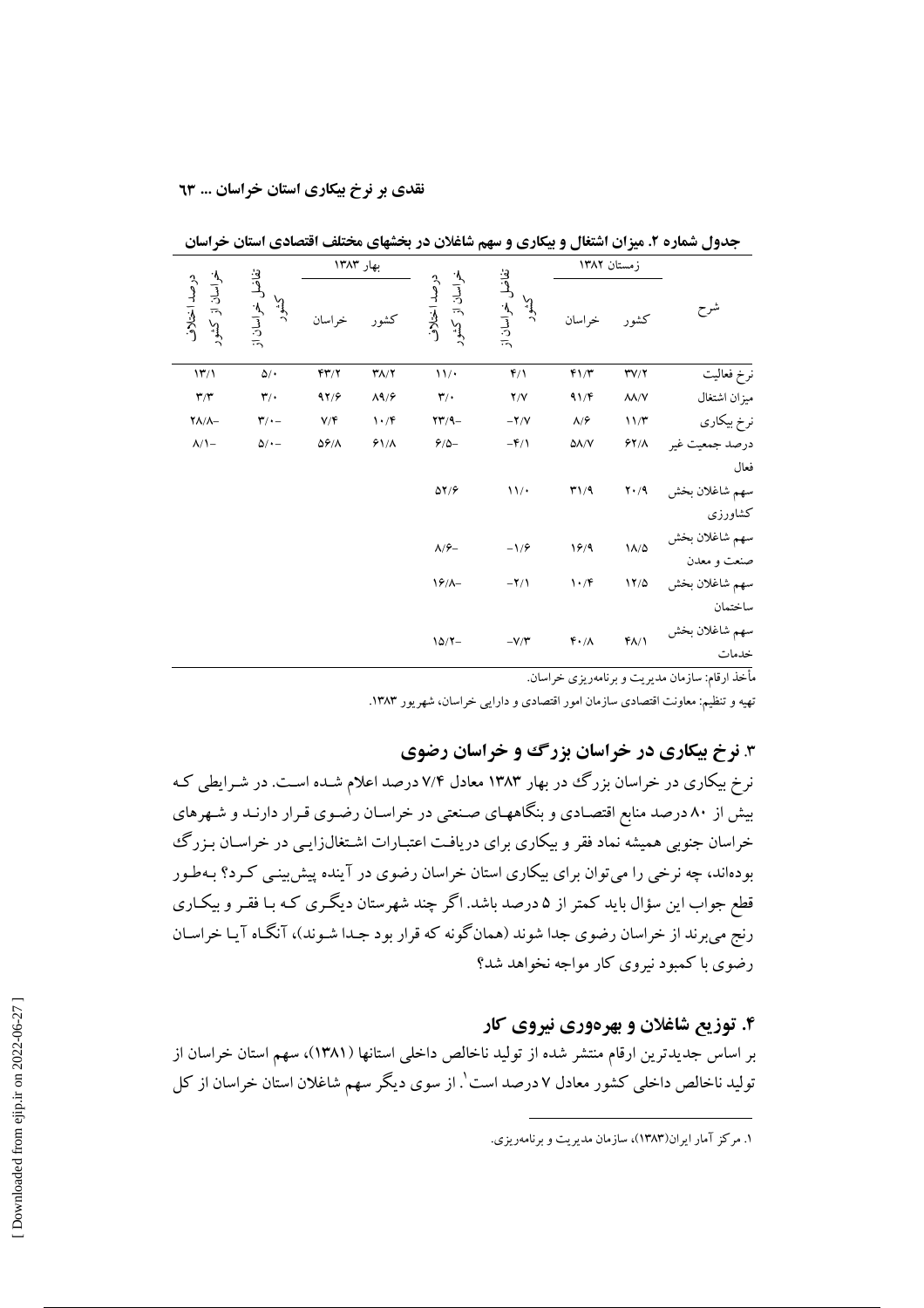|                |                               | زمستان ١٣٨٢                     |                            |                                        |                                 | بهار ۱۳۸۳                |                                      |                               |
|----------------|-------------------------------|---------------------------------|----------------------------|----------------------------------------|---------------------------------|--------------------------|--------------------------------------|-------------------------------|
| شرح            | كشور                          | خراسان                          | تفاضل<br>كشور<br>خراسان از | خراسان از کشور<br>درصد اختلاف          | كشور                            | خر اسان                  | تفاضل<br>كشور<br>خراسان از           | خراسان از کشور<br>درصد اختلاف |
| نرخ فعاليت     | $\Upsilon V/\Upsilon$         | F1/T                            | $f/\lambda$                | 11/                                    | $Y/\gamma$                      | YY/Y                     | $\Delta/\star$                       | $\mathcal{W}/\mathcal{V}$     |
| ميزان اشتغال   | $\lambda\lambda/V$            | 91/F                            | Y/Y                        | $\mathbf{r}/\cdot$                     | $\Lambda$ ۹/۶                   | 97/9                     | $\mathbf{r}'$                        | $\mathbf{r}/\mathbf{r}$       |
| نرخ بیکاری     | 11/T                          | $\lambda/\hat{r}$               | $-\mathbf{Y}/\mathbf{V}$   | $\mathbf{Y} \mathbf{Y} / \mathbf{Y} -$ | $\mathcal{N} \cdot \mathcal{N}$ | V/F                      | $\mathbf{r}/\cdot$ -                 | $\Upsilon\Lambda/\Lambda-$    |
| درصد جمعیت غیر | $51/\lambda$                  | $\Delta\Lambda/V$               | $-\mathbf{f}/\mathbf{A}$   | $\mathcal{S}/\Delta-$                  | $91/\lambda$                    | $\Delta \hat{r}/\Lambda$ | $\Delta/\mathop{\scriptstyle\circ}-$ | $\Lambda/\Lambda-$            |
| فعال           |                               |                                 |                            |                                        |                                 |                          |                                      |                               |
| سهم شاغلان بخش | $\mathbf{Y} \cdot \mathbf{A}$ | $T\$ 29                         | 11/                        | $\Delta Y/\hat{r}$                     |                                 |                          |                                      |                               |
| كشاورزى        |                               |                                 |                            |                                        |                                 |                          |                                      |                               |
| سهم شاغلان بخش | $\Lambda/\Delta$              | 19/9                            | $-1/9$                     | $\Lambda/\hat{\tau}-$                  |                                 |                          |                                      |                               |
| صنعت و معدن    |                               |                                 |                            |                                        |                                 |                          |                                      |                               |
| سهم شاغلان بخش | 11/0                          | $\mathcal{N} \cdot \mathcal{N}$ | $-\Upsilon/\Upsilon$       | $19/-$                                 |                                 |                          |                                      |                               |
| ساختمان        |                               |                                 |                            |                                        |                                 |                          |                                      |                               |
| سهم شاغلان بخش | $f/\sqrt{ }$                  | $F \cdot / \Lambda$             | $-V/Y$                     | $10/7 -$                               |                                 |                          |                                      |                               |
| خدمات          |                               |                                 |                            |                                        |                                 |                          |                                      |                               |

جدول شماره ۲. میزان اشتغال و بیکاری و سهم شاغلان در بخشهای مختلف اقتصادی استان خراسان

مأخذ ارقام: سازمان مديريت و برنامهريزي خراسان.

تهیه و تنظیم: معاونت اقتصادی سازمان امور اقتصادی و دارایی خراسان، شهریور ۱۳۸۳.

# ۳. نرخ بیکاری در خراسان بزرگ و خراسان رضوی

نرخ بیکاری در خراسان بزرگ در بهار ۱۳۸۳ معادل ۷/۴ درصد اعلام شـده اسـت. در شـرایطی کـه بیش از ۸۰ درصد منابع اقتصـادی و بنگاههـای صـنعتی در خراسـان رضـوی قـرار دارنـد و شـهرهای خراسان جنوبی همیشه نماد فقر و بیکاری برای دریافت اعتبـارات اشـتغال(ایـی در خراسـان بـزرگ بودهاند، چه نرخی را میتوان برای بیکاری استان خراسان رضوی در آینده پیش بینی کـرد؟ بـهطـور قطع جواب این سؤال باید کمتر از ۵ درصد باشد. اگر چند شهرستان دیگـری کـه بـا فقـر و بیکـاری رنج میبرند از خراسان رضوی جدا شوند (همانگونه که قرار بود جـدا شـوند)، آنگـاه آيـا خراسـان رضوی با کمبود نیروی کار مواجه نخواهد شد؟

### ۴. توزیع شاغلان و بهرهوری نیروی کار

بر اساس جدیدترین ارقام منتشر شده از تولید ناخالص داخلی استانها (۱۳۸۱)، سهم استان خراسان از تولید ناخالص داخلی کشور معادل ۷ درصد است'. از سوی دیگر سهم شاغلان استان خراسان از کل

۱. مرکز آمار ایران(۱۳۸۳)، سازمان مدیریت و برنامهریزی.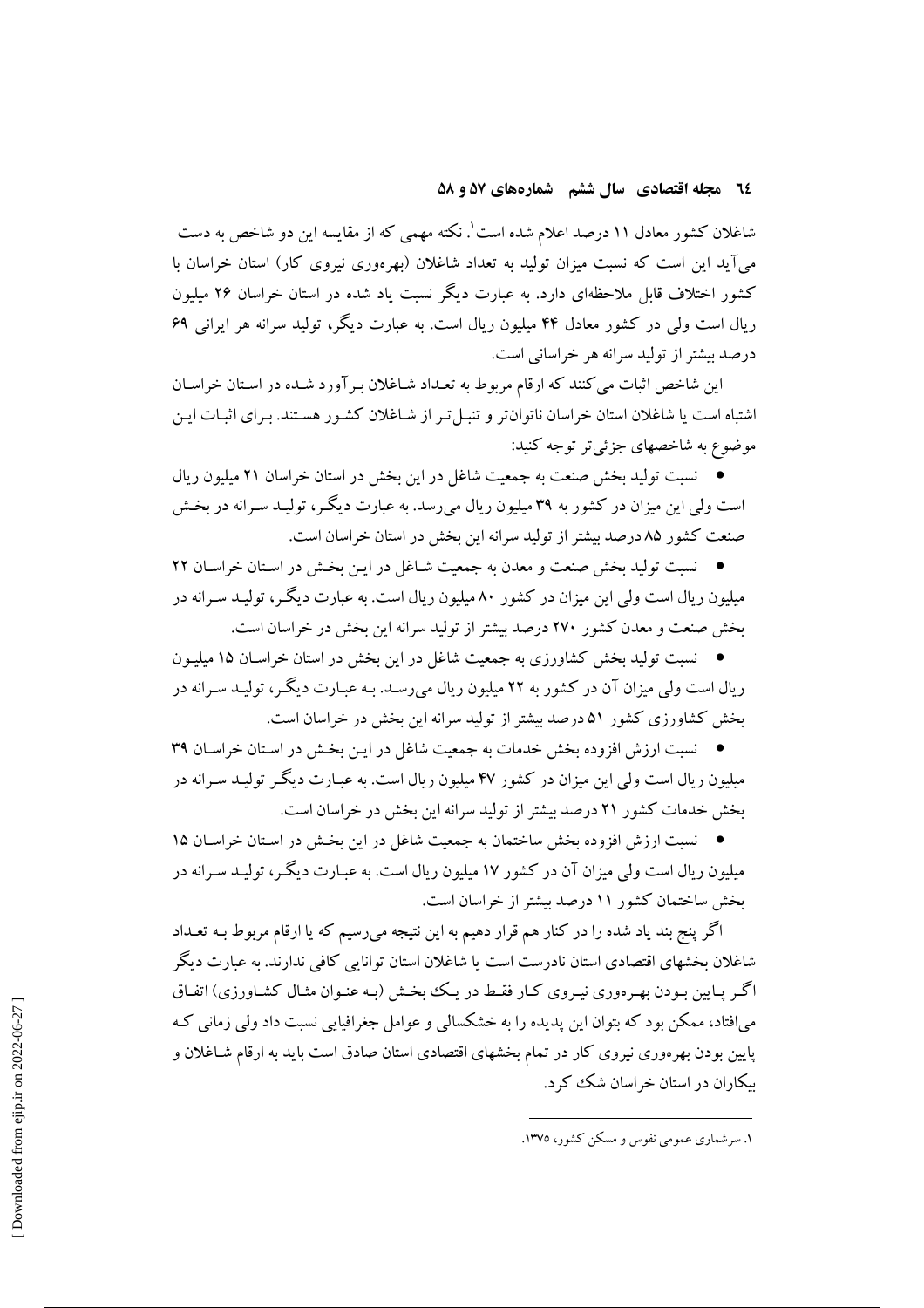### ٢٤ مجله اقتصادي سال ششم شمارههاي ٥٧ و ٥٨

شاغلان کشور معادل ۱۱ درصد اعلام شده است'. نکته مهمی که از مقایسه این دو شاخص به دست می آید این است که نسبت میزان تولید به تعداد شاغلان (بهرهوری نیروی کار) استان خراسان با کشور اختلاف قابل ملاحظهای دارد. به عبارت دیگر نسبت یاد شده در استان خراسان ۲۶ میلیون ریال است ولی در کشور معادل ۴۴ میلیون ریال است. به عبارت دیگر، تولید سرانه هر ایرانی ۶۹ درصد بيشتر از توليد سرانه هر خراساني است.

این شاخص اثبات می کنند که ارقام مربوط به تعـداد شـاغلان بـر آورد شـده در اسـتان خراسـان اشتباه است یا شاغلان استان خراسان ناتوان تر و تنبـل تـر از شـاغلان کشـور هسـتند. بـرای اثبـات ايـن موضوع به شاخصهای جزئی تر توجه کنید:

● نسبت تولید بخش صنعت به جمعیت شاغل در این بخش در استان خراسان ۲۱ میلیون ریال است ولي اين ميزان در كشور به ۳۹ ميليون ريال مي رسد. به عبارت ديگـر، توليـد سـرانه در بخـش صنعت کشور ۸۵ درصد بیشتر از تولید سرانه این بخش در استان خراسان است.

• نسبت تولید بخش صنعت و معدن به جمعیت شـاغل در ایـن بخـش در اسـتان خراسـان ٢٢ میلیون ریال است ولی این میزان در کشور ۸۰ میلیون ریال است. به عبارت دیگـر، تولیـد سـرانه در بخش صنعت و معدن كشور ٢٧٠ درصد بيشتر از توليد سرانه اين بخش در خراسان است.

● \_ نسبت تولید بخش کشاورزی به جمعیت شاغل در این بخش در استان خراسـان ۱۵ میلیـون ریال است ولی میزان آن در کشور به ۲۲ میلیون ریال می رسـد. بـه عبـارت دیگـر، تولیـد سـرانه در بخش کشاورزی کشور ۵۱ درصد بیشتر از تولید سرانه این بخش در خراسان است.

• نسبت ارزش افزوده بخش خدمات به جمعیت شاغل در ایـن بخـش در اسـتان خراسـان ۳۹ میلیون ر بال است ولی این میزان در کشور ۴۷ میلیون ر بال است. به عبیارت دیگیر تولیید سیرانه در بخش خدمات کشور ۲۱ درصد بیشتر از تولید سرانه این بخش در خراسان است.

• نسبت ارزش افزوده بخش ساختمان به جمعیت شاغل در این بخش در استان خراسـان ۱۵ میلیون ریال است ولی میزان آن در کشور ۱۷ میلیون ریال است. به عبـارت دیگـر، تولیـد سـرانه در بخش ساختمان كشور ١١ درصد بيشتر از خراسان است.

اگر پنج بند یاد شده را در کنار هم قرار دهیم به این نتیجه میرسیم که یا ارقام مربوط بـه تعـداد شاغلان بخشهای اقتصادی استان نادرست است یا شاغلان استان توانایی کافی ندارند. به عبارت دیگر اگر پایین بودن بهرهوری نیروی کبار فقط در یک بخش (به عنـوان مثـال کشـاورزی) اتفـاق می افتاد، ممکن بود که بتوان این پدیده را به خشکسالی و عوامل جغرافیایی نسبت داد ولی زمانی ک پایین بودن بهرهوری نیروی کار در تمام بخشهای اقتصادی استان صادق است باید به ارقام شـاغلان و سکاران در استان خراسان شک کرد.

١. سرشماري عمومي نفوس و مسكن كشور، ١٣٧٥.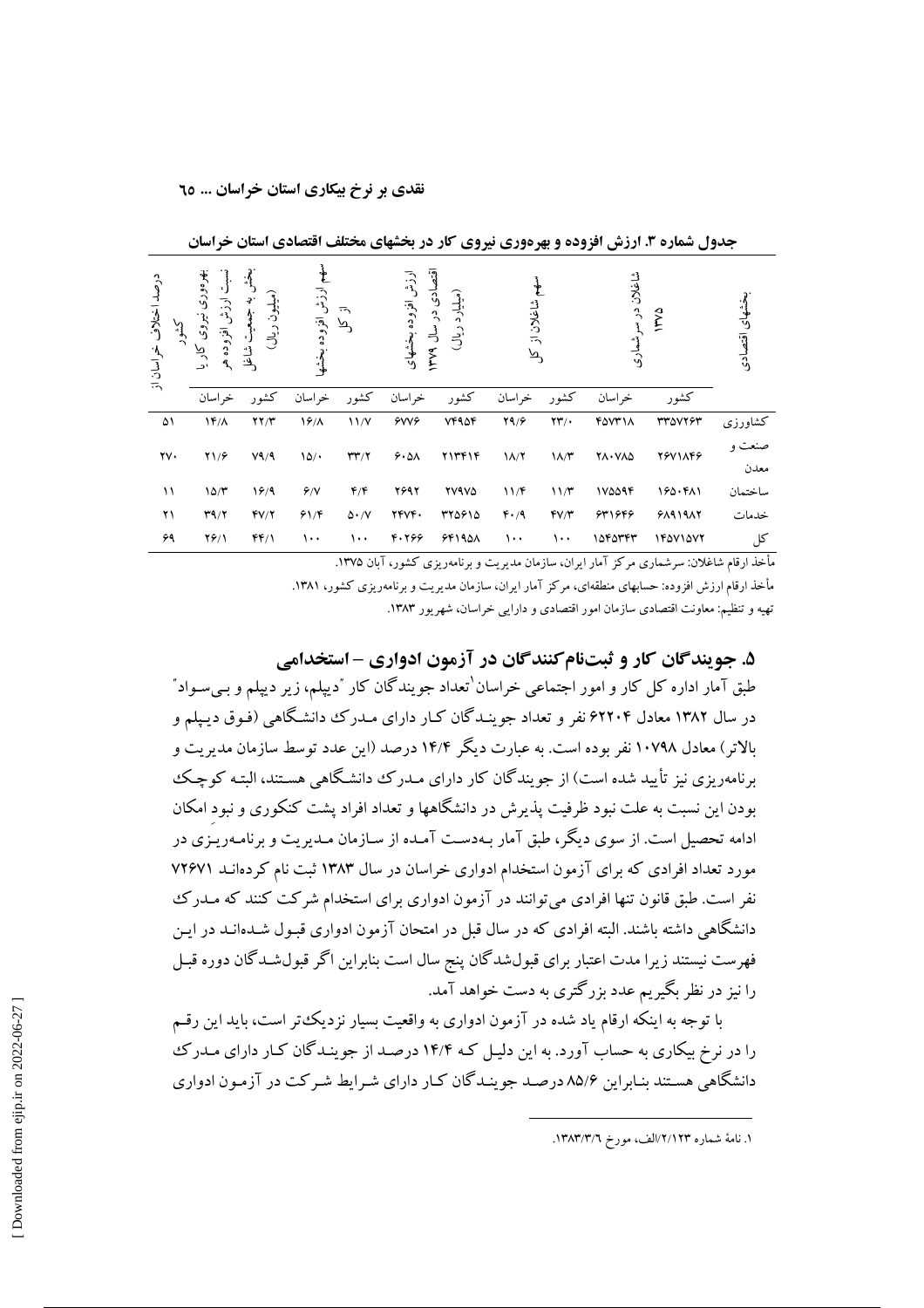|                       |                                                   |                                                                                 |                  |                                      |                    |                                                       |               |                         | --                    |                |               |
|-----------------------|---------------------------------------------------|---------------------------------------------------------------------------------|------------------|--------------------------------------|--------------------|-------------------------------------------------------|---------------|-------------------------|-----------------------|----------------|---------------|
| درصد اختلاف خراسان از | بهرەورى<br>ت ارزش افزوده هر<br>نيروى<br>کار<br>پا | $\mathcal{L}$<br>ميليون ريال)<br>э.<br>$\boldsymbol{\hat{\gamma}}$<br>ڻئا<br>رف | ارزش افزوده بخشه | $\overline{\cdot}$<br>$\bar{\kappa}$ | ارزش افزوده بخشهاى | $\bar{e}$<br>ادی در سال ۱۳۷۹<br>(میلیارد<br>$\dot{L}$ | شاغلان از کل  |                         | شاغلان در سر<br>شعارى | <b>NYYA</b>    | فشهای اقتصادی |
|                       | خراسان                                            | كشور                                                                            | خراسان           | كشور                                 | خراسان             | كشور                                                  | خراسان        | كشور                    | خر اسان               | كشور           |               |
| ۵۱                    | $1F/\Lambda$                                      | YY/Y                                                                            | 19/              | 11/Y                                 | 6006               | <b>VF90F</b>                                          | Y9/9          | $\mathbf{Y}\mathbf{Y}'$ | <b>FOVT11</b>         | <b>TTAVTST</b> | كشاورزى       |
| $\gamma\gamma$ .      | Y1/F                                              | V9/9                                                                            | 10/              | $\mathbf{r}\mathbf{r}/\mathbf{r}$    | 9.01               | <b>TITFIF</b>                                         | $1/\sqrt{7}$  | $\lambda/\tau$          | <b>YA.VAD</b>         | 79V1149        |               |
|                       |                                                   |                                                                                 |                  |                                      |                    |                                                       |               |                         |                       |                | معدن          |
| ۱۱                    | 10/r                                              | 19/9                                                                            | 9/1              | $f/\mathfrak{F}$                     | 2692               | <b>TV9V4</b>                                          | 11/F          | 11/T                    | 170094                | 190.411        | ساختمان       |
| ۲۱                    | T9/7                                              | fV/Y                                                                            | 91/F             | $\Delta \cdot /V$                    | <b>TFVF.</b>       | 370910                                                | $F \cdot / 9$ | $fV/\tau$               | 631646                | 51917          | خدمات         |
| ۶۹                    | $Y$ ۶/۱                                           | FF/1                                                                            | ۱۰۰              | ۱۰۰                                  | 4.766              | 55190A                                                | $\cdots$      | ۱۰۰                     | 1545444               | 14071077       | کل            |

حدول شماره ۳. ارزش افزوده و بهرهوری نیروی کار در بخشهای مختلف اقتصادی استان خراسان

مأخذ ارقام شاغلان: سرشماری مرکز آمار ایران، سازمان مدیریت و برنامهریزی کشور، آیان ۱۳۷۵.

مأخذ ارقام ارزش افزوده: حسابهای منطقهای، مرکز آمار ایران، سازمان مدیریت و برنامهریزی کشور، ۱۳۸۱. تهیه و تنظیم: معاونت اقتصادی سازمان امور اقتصادی و دارایی خراسان، شهر یور ۱۳۸۳.

# ۵. جويندگان کار و ثبتنام کنندگان در آزمون ادواری - استخدامی

طبق آمار اداره کل کار و امور اجتماعی خراسان ٰتعداد جویندگان کار ؒدیپلم، زیر دیپلم و بے سـواد ؒ در سال ۱۳۸۲ معادل ۶۲۲۰۴ نفر و تعداد جوینـدگان کـار دارای مـدرک دانشـگاهی (فـوق دیـپلم و بالاتر) معادل ۱۰۷۹۸ نفر بوده است. به عبارت دیگر ۱۴/۴ درصد (این عدد توسط سازمان مدیریت و برنامهر بزی نیز تأپید شده است) از جو بندگان کار دارای میدرک دانشگاهی هستند، البته کوچک بودن این نسبت به علت نبود ظرفیت پذیرش در دانشگاهها و تعداد افراد پشت کنکوری و نبود امکان ادامه تحصیل است. از سوی دیگر، طبق آمار بـهدسـت آمـده از سـازمان مـدیریت و برنامـهریـزی در مورد تعداد افرادی که برای آزمون استخدام ادواری خراسان در سال ۱۳۸۳ ثبت نام کردهانـد ۷۲۶۷۱ نفر است. طبق قانون تنها افرادی می توانند در آزمون ادواری برای استخدام شرکت کنند که مـدرک دانشگاهی داشته باشند. البته افرادی که در سال قبل در امتحان آزمون ادواری قبـول شــدهانــد در ایــن فهرست نیستند زیرا مدت اعتبار برای قبولشدگان پنج سال است بناراین اگر قبول شید گان دوره قسل را نیز در نظر یگیریم عدد بزرگتری به دست خواهد آمد.

با توجه به اینکه ارقام یاد شده در آزمون ادواری به واقعیت بسیار نزدیک تر است، باید این رقسم را در نرخ بیکاری به حساب آورد. به این دلیـل کـه ۱۴/۴ درصـد از جوینـدگان کـار دارای مـدرکـُ دانشگاهی هستند بنـاراین ۸۵/۶ درصـد جو بنـدگان کـار دارای شـرابط شـرکت در آزمـون ادواری

١. نامهٔ شماره ٢/١٢/١٢٣الف، مورخ ١٣٨٣/٣/٦.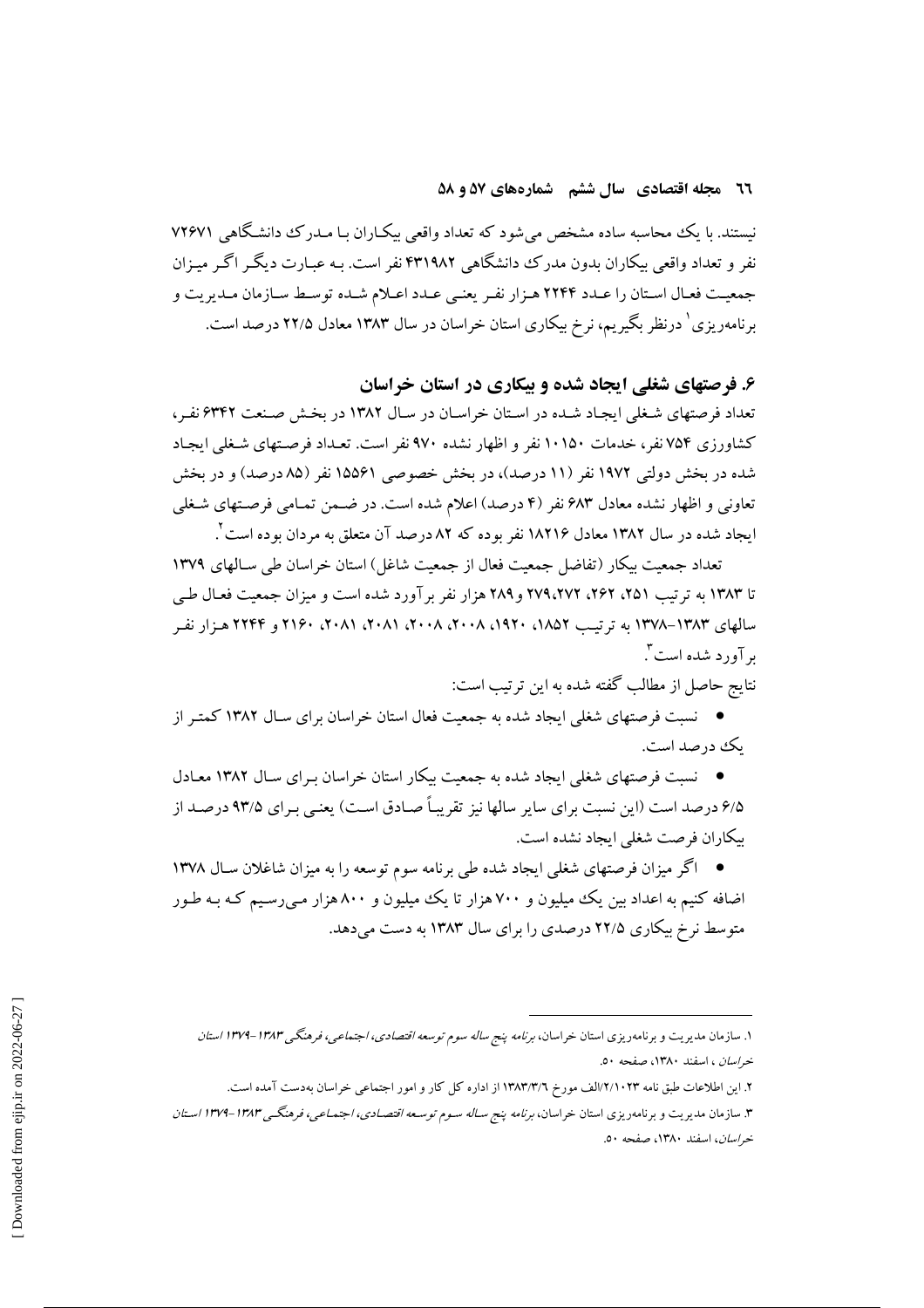### 27 مجله اقتصادی سال ششم شمارههای ۵۷ و ۵۸

نیستند. با یک محاسبه ساده مشخص میشود که تعداد واقعی بیک اران بـا مـدرک دانشـگاهی ۷۲۶۷۱ نفر و تعداد واقعی پیکاران بدون مدرک دانشگاهی ۴۳۱۹۸۲ نفر است. بـه عبـارت دیگـر اگـر میـزان جمعیت فعال استان را عـدد ۲۲۴۴ هـزار نفـر یعنـی عـدد اعـلام شـده توسـط سـازمان مـدیریت و برنامهریزی ٔ درنظر بگیریم، نرخ بیکاری استان خراسان در سال ۱۳۸۳ معادل ۲۲/۵ درصد است.

## ۶. فرصتهای شغلی ایجاد شده و بیکاری در استان خراسان

تعداد فرصتهای شغلی ایجاد شده در استان خراسان در سال ۱۳۸۲ در بخش صنعت ۶۳۴۲ نفر، کشاورزی ۷۵۴ نفر، خدمات ۱۰۱۵۰ نفر و اظهار نشده ۹۷۰ نفر است. تعـداد فرصـتهای شـغلی ایجـاد شده در بخش دولتی ۱۹۷۲ نفر (۱۱ درصد)، در بخش خصوصی ۱۵۵۶۱ نفر (۸۵ درصد) و در بخش تعاونی و اظهار نشده معادل ۶۸۳ نفر (۴ درصد) اعلام شده است. در ضـمن تمـامی فرصـتهای شـغلی ایجاد شده در سال ۱۳۸۲ معادل ۱۸۲۱۶ نفر بوده که ۸۲ درصد آن متعلق به مردان بوده است ٌ.

تعداد جمعیت پیکار (تفاضل جمعیت فعال از جمعیت شاغل) استان خراسان طی سـالهای ١٣٧٩ تا ۱۳۸۳ به ترتیب ۲۵۱، ۲۶۲، ۲۷۹،۲۷۲ و ۲۸۹ هزار نفر بر آورد شده است و میزان جمعیت فعـال طـی سالهای ۱۳۸۳–۱۳۷۸ به ترتیب ۱۸۵۲، ۱۹۲۰، ۲۰۰۸، ۲۰۰۸، ۲۰۸۱، ۲۰۸۱، ۲۱۶۰ و ۲۲۴۴ هـزار نفـر بر آورد شده است ".

نتايج حاصل از مطالب گفته شده به اين ترتيب است:

● نسبت فرصتهای شغلی ایجاد شده به جمعیت فعال استان خراسان برای سـال ۱۳۸۲ کمتـر از ىك درصد است.

● نسبت فرصتهای شغلی ایجاد شده به جمعیت بیکار استان خراسان بـرای سـال ۱۳۸۲ معـادل ۶/۵ در صد است (این نسبت برای سایر سالها نیز تقریباً صیادق است) یعنبی بیرای ۹۳/۵ درصید از بيكاران فرصت شغلي ايجاد نشده است.

● اگر میزان فرصتهای شغلی ایجاد شده طی برنامه سوم توسعه را به میزان شاغلان سـال ۱۳۷۸ اضافه کنیم به اعداد بین یک میلیون و ۷۰۰ هزار تا یک میلیون و ۸۰۰ هزار مـی(سـیم کـه بـه طـور متوسط نرخ بیکاری ۲۲/۵ درصدی را برای سال ۱۳۸۳ به دست میدهد.

۱. سازمان مدیریت و برنامهریزی استان خراسان، *برنامه پنج ساله سوم توسعه اقتصادی، اجتماعی، فرهنگی ۱۳۸۳-۱۳۷۹ استان* خر*اسان* ، اسفند ۱۳۸۰، صفحه ۵۰.

۲. این اطلاعات طبق نامه ۱٬۲/۱۰۲۳لف مورخ ۱۳۸۳/۳/۲ از اداره کل کار و امور اجتماعی خراسان بهدست آمده است.

۳. سازمان مدیریت و برنامهریزی استان خراسان، *برنامه پنج ساله سـوم توسـعه اقتصـادی، اجتمـاعی، فرهنگـی ۱۳۸۳–۱۳۷۹ اسـتان* خر*اسان*، اسفند ۱۳۸۰، صفحه ۵۰.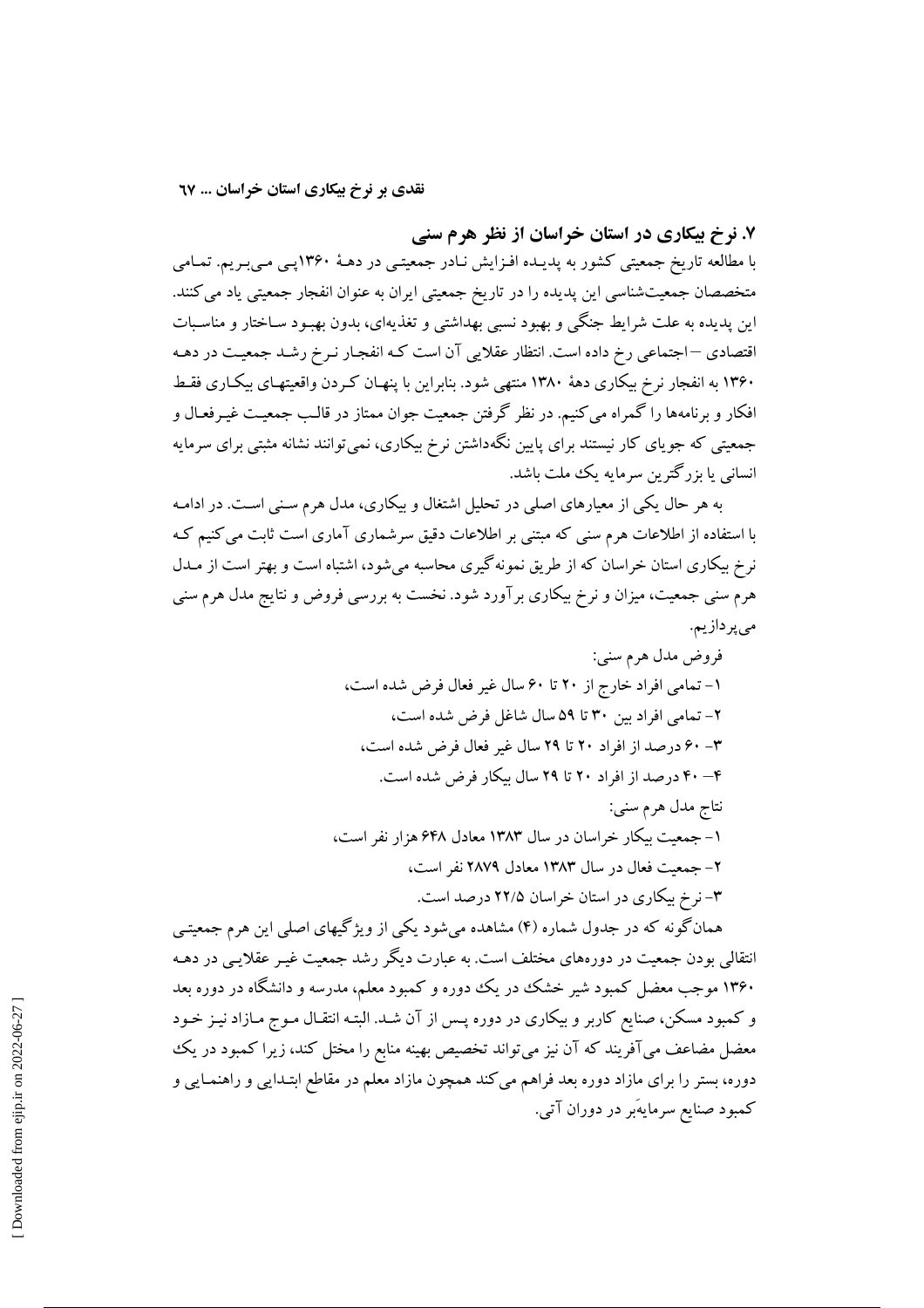۷. نرخ بیکاری در استان خراسان از نظر هرم سنی

با مطالعه تاریخ جمعیتی کشور به پدیـده افـزایش نـادر جمعیتـی در دهـهٔ ۱۳۶۰پـی مـی.بـریم. تمـامی متخصصان جمعیتشناسی این پدیده را در تاریخ جمعیتی ایران به عنوان انفجار جمعیتی یاد می کنند. این پدیده به علت شرایط جنگی و بهبود نسبی بهداشتی و تغذیهای، بدون بهبـود سـاختار و مناسـبات اقتصادی –اجتماعی رخ داده است. انتظار عقلایی آن است کـه انفجـار نـرخ رشـد جمعیـت در دهـه ۱۳۶۰ به انفجار نرخ بیکاری دههٔ ۱۳۸۰ منتهی شود. بنابراین با پنهـان کـردن واقعیتهـای بیکـاری فقـط افکار و برنامهها را گمراه میکنیم. در نظر گرفتن جمعیت جوان ممتاز در قالـب جمعیـت غیـرفعـال و جمعیتی که جویای کار نیستند برای پایین نگهداشتن نرخ بیکاری، نمیتوانند نشانه مثبتی برای سرمایه انسانی یا بزرگترین سرمایه یک ملت باشد.

به هر حال یکی از معیارهای اصلی در تحلیل اشتغال و بیکاری، مدل هرم سـنی اسـت. در ادامـه با استفاده از اطلاعات هرم سنی که مبتنی بر اطلاعات دقیق سرشماری آماری است ثابت می کنیم که نرخ بیکاری استان خراسان که از طریق نمونهگیری محاسبه میشود، اشتباه است و بهتر است از مــدل هرم سنی جمعیت، میزان و نرخ بیکاری برآورد شود. نخست به بررسی فروض و نتایج مدل هرم سنی مىپردازيم.

همانگونه که در جدول شماره (۴) مشاهده می شود یکی از ویژگیهای اصلی این هرم جمعیتبی انتقالی بودن جمعیت در دورههای مختلف است. به عبارت دیگر رشد جمعیت غیـر عقلایـی در دهـه ۱۳۶۰ موجب معضل کمبود شیر خشک در یک دوره و کمبود معلم، مدرسه و دانشگاه در دوره بعد و کمبود مسکن، صنایع کاربر و بیکاری در دوره پـس از آن شـد. البتـه انتقـال مـوج مـازاد نیـز خـود معضل مضاعف میآفریند که آن نیز میتواند تخصیص بهینه منابع را مختل کند، زیرا کمبود در یک دوره، بستر را برای مازاد دوره بعد فراهم می کند همچون مازاد معلم در مقاطع ابتـدایی و راهنمـایی و کمبود صنایع سرمایهَبر در دوران آتی.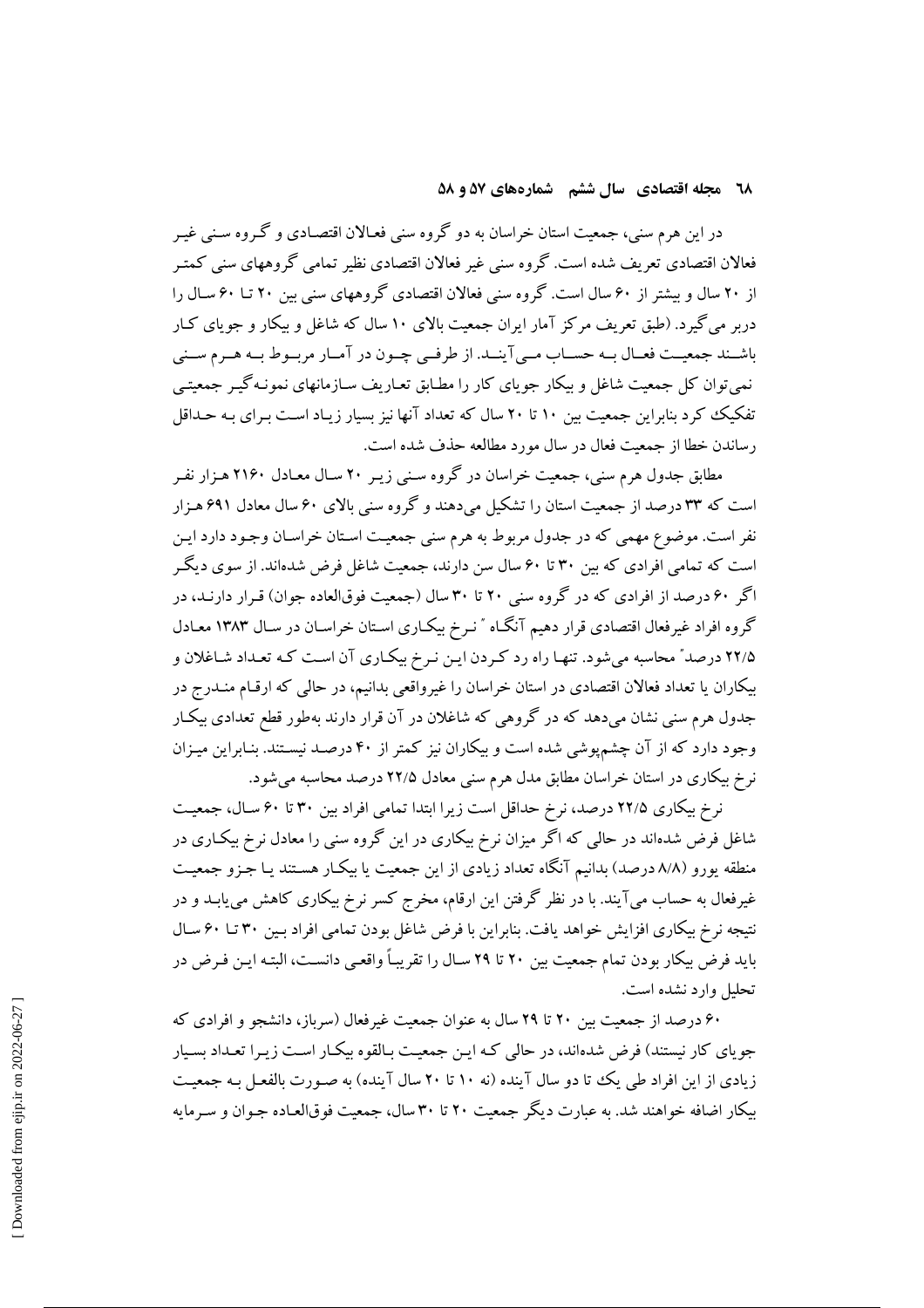### **18 مجله اقتصادی سال ششم گشمارههای ۵۷ و ۵۸**

در این هرم سنبی، جمعت استان خراسان به دو گروه سنبی فعـالان اقتصـادی و گـروه سـنبی غـیر فعالان اقتصادی تعریف شده است. گروه سنی غیر فعالان اقتصادی نظیر تمامی گروههای سنی کمتیر از ۲۰ سال و بیشتر از ۶۰ سال است. گروه سنی فعالان اقتصادی گروههای سنی بین ۲۰ تـا ۶۰ سـال را دربر می گیرد. (طبق تعریف مرکز آمار ایران جمعیت بالای ۱۰ سال که شاغل و بیکار و جویای کـار باشـند جمعيـت فعـال بـه حسـاب مـي آينـد. از طرفـي چـون در آمـار مربـوط بـه هـرم سـني نمی توان کل جمعیت شاغل و بیکار جو پای کار را مطـابق تعـاریف سـازمانهای نمونـه گیـر جمعیتـی تفکیک کرد بنابراین جمعیت بین ۱۰ تا ۲۰ سال که تعداد آنها نیز بسیار زیـاد اسـت بـرای بـه حـداقل رساندن خطا از جمعت فعال در سال مورد مطالعه حذف شده است.

مطابق جدول هرم سنی، جمعیت خراسان در گروه سـنی زیـر ۲۰ سـال معـادل ۲۱۶۰ هـزار نفـر است که ۳۳ درصد از جمعت استان را تشکیل می دهند و گروه سنی بالای ۶۰ سال معادل ۶۹۱ هیزار نفر است. موضوع مهمی که در جدول مربوط به هرم سنی جمعیت اسـتان خراسـان وجـود دارد ایـن است که تمامی افرادی که بین ۳۰ تا ۶۰ سال سن دارند، جمعیت شاغل فرض شدهاند. از سوی دیگر اگر ۶۰ درصد از افرادی که در گروه سنی ۲۰ تا ۳۰ سال (جمعت فوقالعاده جوان) قبرار دارنید، در گروه افراد غیرفعال اقتصادی قرار دهیم آنگـاه " نـرخ بیکـاری اسـتان خراسـان در سـال ۱۳۸۳ معـادل ۲۲/۵ درصد" محاسبه می شود. تنهـا راه رد کـردن ایـن نـرخ بیکـاری آن اسـت کـه تعـداد شـاغلان و بیکاران یا تعداد فعالان اقتصادی در استان خراسان را غیرواقعی بدانیم، در حالبی که ارقام منـدرج در جدول هرم سنی نشان میدهد که در گروهی که شاغلان در آن قرار دارند بهطور قطع تعدادی بیکJر وجود دارد که از آن چشمپوشی شده است و بیکاران نیز کمتر از ۴۰ درصـد نیسـتند. بنـابراین میـزان نرخ بیکاری در استان خراسان مطابق مدل هرم سنبی معادل ۲۲/۵ درصد محاسبه می شود.

نرخ بیکاری ۲۲/۵ درصد، نرخ حداقل است زیرا ابتدا تمامی افراد بین ۳۰ تا ۶۰ سـال، جمعیـت شاغل فرض شدهاند در حالی که اگر میزان نرخ بیکاری در این گروه سنی را معادل نرخ بیک\ری در منطقه پورو (٨/٨ درصد) بدانيم آنگاه تعداد زيادي از اين جمعيت يا بيكـار هسـتند يـا جـزو جمعيـت غیرفعال به حساب میآیند. با در نظر گرفتن این ارقام، مخرج کسر نرخ بیکاری کاهش می یابـد و در نتیجه نرخ بیکاری افزایش خواهد یافت. بنابراین با فرض شاغل بودن تمامی افراد بـین ۳۰ تـا ۶۰ سـال بايد فرض بيكار بودن تمام جمعيت بين ٢٠ تا ٢٩ سـال را تقريباً واقعـي دانسـت، البتـه ايـن فـرض در تحليل وارد نشده است.

۶۰ درصد از جمعیت بین ۲۰ تا ۲۹ سال به عنوان جمعیت غیرفعال (سرباز، دانشجو و افرادی که جویای کار نیستند) فرض شدهاند، در حالی کـه ایـن جمعیـت بـالقوه بیکـار اسـت زیـرا تعـداد بسـیار زیادی از این افراد طی یک تا دو سال آینده (نه ۱۰ تا ۲۰ سال آینده) به صـورت بالفعـل بـه جمعیـت بيكار اضافه خواهند شد. به عبارت ديگر جمعيت ٢٠ تا ٣٠ سال، جمعيت فوقالعـاده جـوان و سـرمايه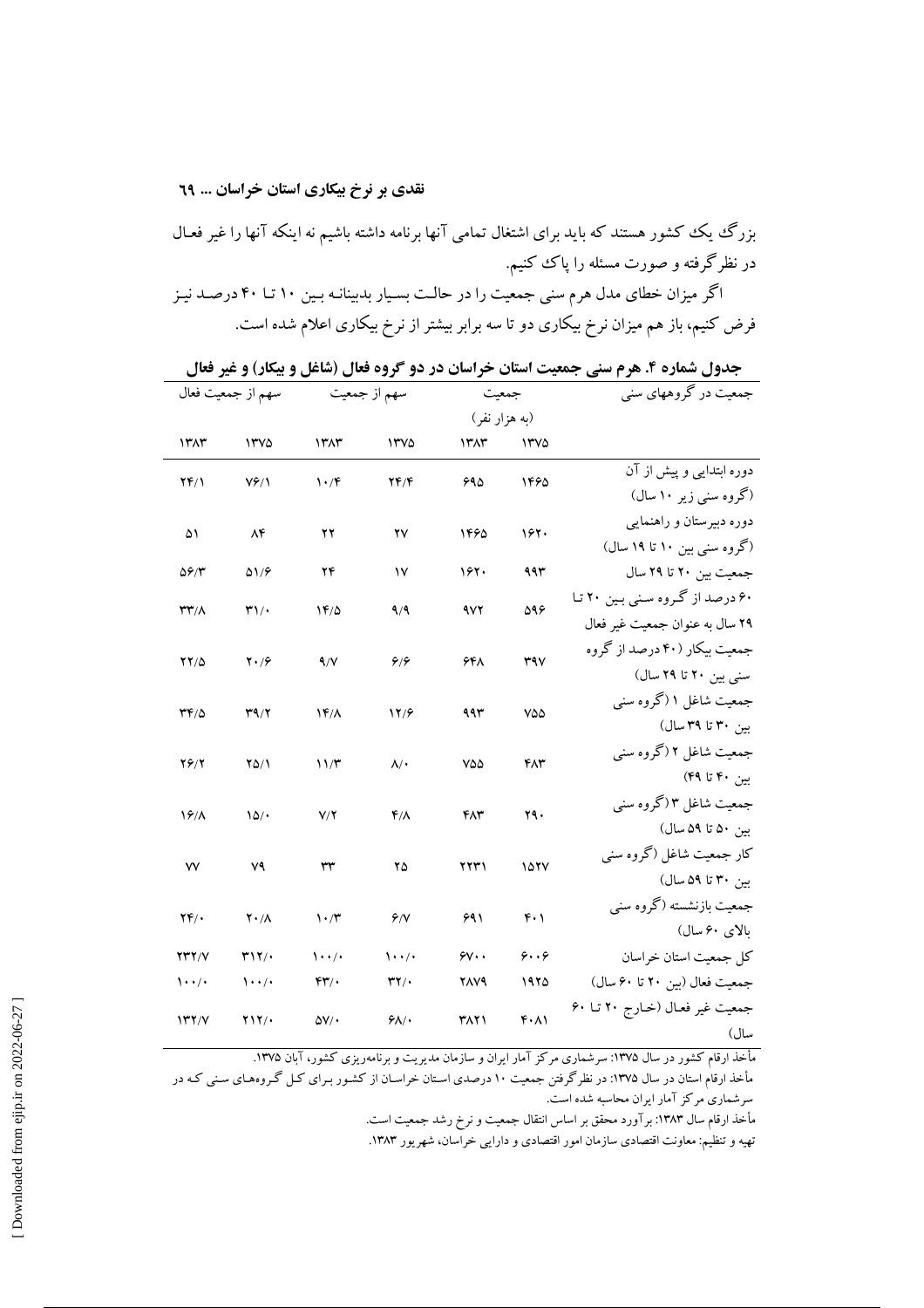### نقدی بر نرخ بیکاری استان خراسان ... ٦٩

بزرگ یک کشور هستند که باید برای اشتغال تمامی آنها برنامه داشته باشیم نه اینکه آنها را غیر فعـال در نظر گرفته و صورت مسئله را یاک کنیم.

اگر میزان خطای مدل هرم سنی جمعیت را در حالـت بسـیار بدبینانـه بـین ۱۰ تـا ۴۰ درصـد نیـز فرض کنیم، باز هم میزان نرخ بیکاری دو تا سه برابر بیشتر از نرخ بیکاری اعلام شده است.

جدول شماره ۴. هرم سني جمعيت استان خراسان در دو گروه فعال (شاغل و بيكار) و غير فعال

|                                    | سهم از جمعیت فعال   |                                 | سهم از جمعیت     | جمعيت         |                   | جمعیت در گروههای سنی              |
|------------------------------------|---------------------|---------------------------------|------------------|---------------|-------------------|-----------------------------------|
|                                    |                     |                                 |                  | (به هزار نفر) |                   |                                   |
| 1٣٨٣                               | ۱۳۷۵                | ١٣٨٣                            | ۱۳۷۵             | ١٣٨٣          | ۱۳۷۵              |                                   |
|                                    |                     |                                 |                  | 990           | 1490              | دوره ابتدایی و پیش از آن          |
| 241                                | $Vf/\lambda$        | $\mathcal{N} \cdot \mathcal{N}$ | YF/F             |               |                   | (گروه سنی زیر ۱۰ سال)             |
| ۵۱                                 | ۸۴                  | ۲۲                              | ۲۷               | 1460          | ۱۶۲۰              | دوره دبیرستان و راهنمایی          |
|                                    |                     |                                 |                  |               |                   | (گروه سنی بین ۱۰ تا ۱۹ سال)       |
| $\Delta$ ۶/۳                       | $\Delta 1/F$        | ۲۴                              | $\mathsf{N}$     | 167.          | ۹۹۳               | جمعیت بین ۲۰ تا ۲۹ سال            |
| ۳۳/۸                               | $\mathbf{r}_{1}/$   | $1F/\Delta$                     | 9/9              | 972           | 598               | ۶۰ درصد از گروه سنی بین ۲۰ تا     |
|                                    |                     |                                 |                  |               |                   | ۲۹ سال به عنوان جمعیت غیر فعال    |
| $YY/\Delta$                        | $Y \cdot 79$        | 4/V                             | 9/9              |               | <b>٣٩٧</b>        | جمعیت بیکار (۴۰ درصد از گروه      |
|                                    |                     |                                 |                  | ۶۴۸           |                   | سنی بین ۲۰ تا ۲۹ سال)             |
|                                    |                     |                                 |                  | ۹۹۳           |                   | جمعیت شاغل ۱ (گروه سنبي           |
| 344                                | T9/7                | $Yf/\lambda$                    | 12/8             |               | VQQ               | بین ۳۰ تا ۳۹ سال)                 |
|                                    |                     |                                 |                  | ٧۵۵           |                   | جمعیت شاغل ۲ (گروه سنبي           |
| 26/2                               | $Y\Delta/1$         | 11/T                            | $\mathcal{N}$ .  |               | ۴۸۳               | بین ۴۰ تا ۴۹)                     |
|                                    |                     |                                 |                  |               |                   | جمعیت شاغل ۳(گروه سنبي            |
| 19/                                | 10/                 | V/Y                             | $f/\lambda$      | ۴۸۳           | ۲۹۰               | بين ۵۰ تا ۵۹ سال)                 |
|                                    |                     | ٣٣                              |                  |               |                   | کار جمعیت شاغل (گروه سنبي         |
| ٧V                                 | ٧٩                  |                                 | ۲۵               | ۲۲۳۱          | 1077              | بين ٣٠ تا ٥٩ سال)                 |
|                                    |                     |                                 |                  |               |                   | جمعیت بازنشسته (گروه سنی          |
| $\mathbf{Y} \mathbf{F}/\mathbf{F}$ | $Y \cdot / \Lambda$ | $\mathcal{N} \cdot \mathcal{N}$ | 9/1              | ۶۹۱           | $f \cdot \gamma$  | بالای ۶۰ سال)                     |
| <b>YYY/V</b>                       | $T\mathcal{Y}'$     | $\cdots$                        | $\cdots$         | $\gamma$      | ۶۰۰۶              | كل جمعيت استان خراسان             |
| $\cdots$                           | $\cdots$            | $rr$ .                          | $\mathbf{r}$     | 2879          | ۱۹۲۵              | جمعيت فعال (بين ٢٠ تا ٤٠ سال)     |
|                                    |                     |                                 |                  |               |                   | جمعیت غیر فعـال (خـارج ۲۰ تــا ۶۰ |
| Y'Y/Y                              | $Y\\Y/\cdot$        | $\Delta V/\cdot$                | $9\lambda/\cdot$ | <b>٣٨٢١</b>   | $f \cdot \Lambda$ | سال) ا                            |

مأخذ ارقام کشور در سال ۱۳۷۵: سرشماری مرکز آمار ایران و سازمان مدیریت و برنامهریزی کشور، آبان ۱۳۷۵.

مأخذ ارقام استان در سال ۱۳۷۵: در نظرگرفتن جمعیت ۱۰ درصدی استان خراسـان از کشـور بـرای کـل گـروههـای سـنی کـه در سرشماری مرکز آمار ایران محاسبه شده است.

مأخذ ارقام سال ۱۳۸۳: بر آورد محقق بر اساس انتقال جمعیت و نرخ رشد جمعیت است.

تهیه و تنظیم: معاونت اقتصادی سازمان امور اقتصادی و دارایی خراسان، شهریور ۱۳۸۳.